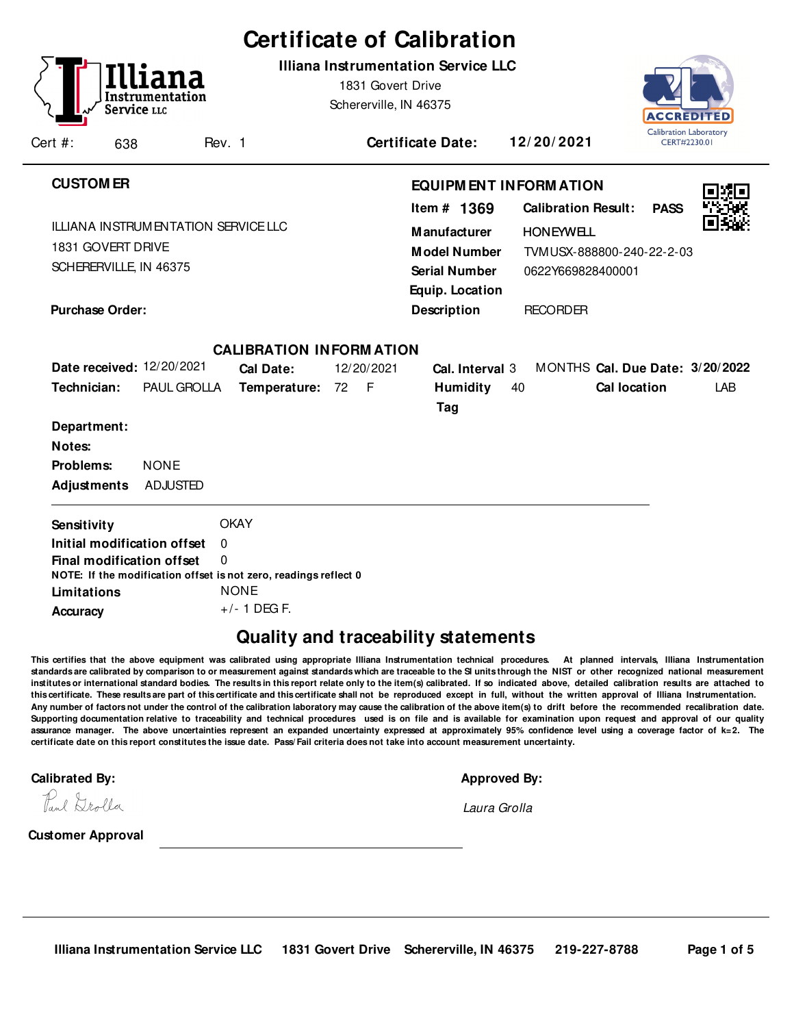|                                                                 |                    |                                          |             |                                                                  |                   | <b>Certificate of Calibration</b>                                                                                     |    |                                                                                                  |                                                            |     |
|-----------------------------------------------------------------|--------------------|------------------------------------------|-------------|------------------------------------------------------------------|-------------------|-----------------------------------------------------------------------------------------------------------------------|----|--------------------------------------------------------------------------------------------------|------------------------------------------------------------|-----|
| Cert #:                                                         | Service LLC<br>638 | Instrumentation                          | Rev. 1      |                                                                  | 1831 Govert Drive | <b>Illiana Instrumentation Service LLC</b><br>Schererville, IN 46375<br><b>Certificate Date:</b>                      |    | 12/20/2021                                                                                       | ACCREDITE<br><b>Calibration Laboratory</b><br>CERT#2230.01 |     |
|                                                                 |                    |                                          |             |                                                                  |                   |                                                                                                                       |    |                                                                                                  |                                                            |     |
| <b>CUSTOM ER</b><br>1831 GOVERT DRIVE<br>SCHERERVILLE, IN 46375 |                    | ILLIANA INSTRUMENTATION SERVICE LLC      |             |                                                                  |                   | <b>EQUIPM ENT INFORM ATION</b><br>Item $#$ 1369<br><b>Manufacturer</b><br><b>Model Number</b><br><b>Serial Number</b> |    | <b>Calibration Result:</b><br><b>HONEYWELL</b><br>TVMUSX-888800-240-22-2-03<br>0622Y669828400001 | <b>PASS</b>                                                |     |
| <b>Purchase Order:</b>                                          |                    |                                          |             |                                                                  |                   | Equip. Location<br><b>Description</b>                                                                                 |    | <b>RECORDER</b>                                                                                  |                                                            |     |
|                                                                 |                    |                                          |             | <b>CALIBRATION INFORMATION</b>                                   |                   |                                                                                                                       |    |                                                                                                  |                                                            |     |
| Technician:                                                     |                    | Date received: 12/20/2021<br>PAUL GROLLA |             | Cal Date:<br>Temperature: 72 F                                   | 12/20/2021        | Cal. Interval 3<br><b>Humidity</b><br>Tag                                                                             | 40 | MONTHS Cal. Due Date: 3/20/2022<br><b>Cal location</b>                                           |                                                            | LAB |
| Department:                                                     |                    |                                          |             |                                                                  |                   |                                                                                                                       |    |                                                                                                  |                                                            |     |
| Notes:                                                          |                    |                                          |             |                                                                  |                   |                                                                                                                       |    |                                                                                                  |                                                            |     |
| Problems:                                                       |                    | <b>NONE</b>                              |             |                                                                  |                   |                                                                                                                       |    |                                                                                                  |                                                            |     |
| <b>Adjustments</b>                                              |                    | <b>ADJUSTED</b>                          |             |                                                                  |                   |                                                                                                                       |    |                                                                                                  |                                                            |     |
| Sensitivity                                                     |                    |                                          | <b>OKAY</b> |                                                                  |                   |                                                                                                                       |    |                                                                                                  |                                                            |     |
|                                                                 |                    | Initial modification offset              | $\mathbf 0$ |                                                                  |                   |                                                                                                                       |    |                                                                                                  |                                                            |     |
|                                                                 |                    | Final modification offset                | $\Omega$    | NOTE: If the modification offset is not zero, readings reflect 0 |                   |                                                                                                                       |    |                                                                                                  |                                                            |     |
| Limitations                                                     |                    |                                          | <b>NONE</b> |                                                                  |                   |                                                                                                                       |    |                                                                                                  |                                                            |     |
| <b>Accuracy</b>                                                 |                    |                                          |             | $+/- 1$ DEG F.                                                   |                   |                                                                                                                       |    |                                                                                                  |                                                            |     |
|                                                                 |                    |                                          |             |                                                                  |                   |                                                                                                                       |    |                                                                                                  |                                                            |     |

## **Quality and traceability statements**

**This certifies that the above equipment was calibrated using appropriate Illiana Instrumentation technical procedures. At planned intervals, Illiana Instrumentation standards are calibrated by comparison to or measurement against standards which are traceable to the SI units through the NIST or other recognized national measurement institutes or international standard bodies. The results in this report relate only to the item(s) calibrated. If so indicated above, detailed calibration results are attached to this certificate. These results are part of this certificate and this certificate shall not be reproduced except in full, without the written approval of Illiana Instrumentation. Any number of factors not under the control of the calibration laboratory may cause the calibration of the above item(s) to drift before the recommended recalibration date. Supporting documentation relative to traceability and technical procedures used is on file and is available for examination upon request and approval of our quality assurance manager. The above uncertainties represent an expanded uncertainty expressed at approximately 95% confidence level using a coverage factor of k=2. The certificate date on this report constitutes the issue date. Pass/ Fail criteria does not take into account measurement uncertainty.**-

**Calibrated By: Approved By: Approved By: Approved By: Approved By: Approved By: Approved By: Approved By: Approved By: Approved By: Approved By: Approved By: Approved By: Approved By: Approved** 

|  |  | Approved Bv: |  |
|--|--|--------------|--|
|  |  |              |  |
|  |  |              |  |

Paul Drolla

Laura Grolla

**Customer Approval**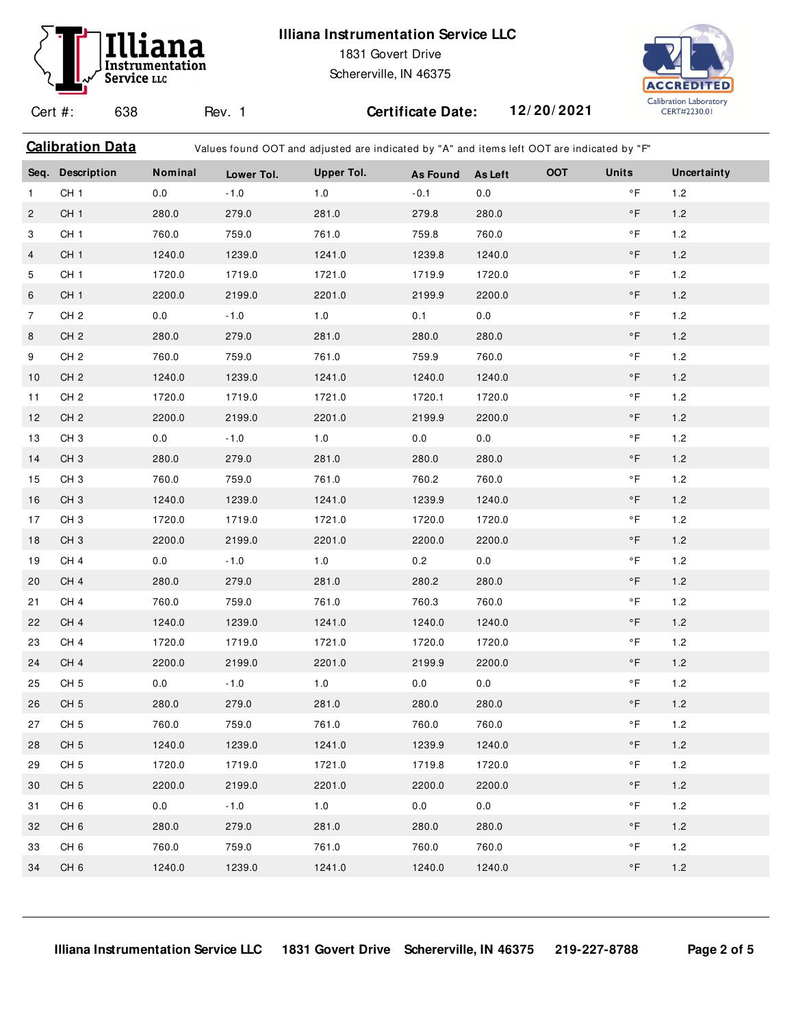# Instrumentation Service LLC

### **Illiana Instrumentation Service LLC**

1831 Govert Drive

Schererville, IN 46375

Calibration Data **Values found OOT and adjusted are indicated by "A"** and items left OOT are indicated by "F"



Cert #: 638

Rev. 1 **Certificate Date: 12/ 20/ 2021**

|                | Seq. Description | Nominal | Lower Tol. | <b>Upper Tol.</b> | <b>As Found</b> | <b>As Left</b> | OOT | <b>Units</b>        | Uncertainty |
|----------------|------------------|---------|------------|-------------------|-----------------|----------------|-----|---------------------|-------------|
| $\mathbf{1}$   | CH <sub>1</sub>  | 0.0     | $-1.0$     | 1.0               | $-0.1$          | 0.0            |     | $\circ$ F           | 1.2         |
| $\overline{c}$ | CH <sub>1</sub>  | 280.0   | 279.0      | 281.0             | 279.8           | 280.0          |     | $\circ$ F           | 1.2         |
| 3              | CH <sub>1</sub>  | 760.0   | 759.0      | 761.0             | 759.8           | 760.0          |     | $^\circ \mathsf{F}$ | 1.2         |
| $\overline{4}$ | CH <sub>1</sub>  | 1240.0  | 1239.0     | 1241.0            | 1239.8          | 1240.0         |     | $\circ$ F           | 1.2         |
| 5              | CH <sub>1</sub>  | 1720.0  | 1719.0     | 1721.0            | 1719.9          | 1720.0         |     | $^\circ \mathsf{F}$ | 1.2         |
| 6              | CH <sub>1</sub>  | 2200.0  | 2199.0     | 2201.0            | 2199.9          | 2200.0         |     | $\circ$ F           | $1.2\,$     |
| $\overline{7}$ | CH <sub>2</sub>  | 0.0     | $-1.0$     | 1.0               | 0.1             | 0.0            |     | $^\circ \mathsf{F}$ | $1.2\,$     |
| 8              | CH <sub>2</sub>  | 280.0   | 279.0      | 281.0             | 280.0           | 280.0          |     | $\circ$ F           | 1.2         |
| 9              | CH <sub>2</sub>  | 760.0   | 759.0      | 761.0             | 759.9           | 760.0          |     | $^\circ \mathsf{F}$ | 1.2         |
| 10             | CH <sub>2</sub>  | 1240.0  | 1239.0     | 1241.0            | 1240.0          | 1240.0         |     | $\circ$ F           | 1.2         |
| 11             | CH <sub>2</sub>  | 1720.0  | 1719.0     | 1721.0            | 1720.1          | 1720.0         |     | $^\circ \mathsf{F}$ | 1.2         |
| 12             | CH <sub>2</sub>  | 2200.0  | 2199.0     | 2201.0            | 2199.9          | 2200.0         |     | $^\circ \mathsf{F}$ | 1.2         |
| 13             | CH <sub>3</sub>  | 0.0     | $-1.0$     | 1.0               | 0.0             | 0.0            |     | $^\circ \mathsf{F}$ | 1.2         |
| 14             | CH <sub>3</sub>  | 280.0   | 279.0      | 281.0             | 280.0           | 280.0          |     | $\circ$ F           | $1.2$       |
| 15             | CH <sub>3</sub>  | 760.0   | 759.0      | 761.0             | 760.2           | 760.0          |     | $\circ$ F           | $1.2$       |
| 16             | CH <sub>3</sub>  | 1240.0  | 1239.0     | 1241.0            | 1239.9          | 1240.0         |     | $\circ$ F           | 1.2         |
| 17             | CH <sub>3</sub>  | 1720.0  | 1719.0     | 1721.0            | 1720.0          | 1720.0         |     | $^\circ \mathsf{F}$ | 1.2         |
| 18             | CH <sub>3</sub>  | 2200.0  | 2199.0     | 2201.0            | 2200.0          | 2200.0         |     | $\circ$ F           | $1.2\,$     |
| 19             | CH <sub>4</sub>  | 0.0     | $-1.0$     | 1.0               | 0.2             | 0.0            |     | $^\circ \mathsf{F}$ | 1.2         |
| 20             | CH <sub>4</sub>  | 280.0   | 279.0      | 281.0             | 280.2           | 280.0          |     | $\circ$ F           | 1.2         |
| 21             | CH <sub>4</sub>  | 760.0   | 759.0      | 761.0             | 760.3           | 760.0          |     | $^\circ \mathsf{F}$ | 1.2         |
| 22             | CH <sub>4</sub>  | 1240.0  | 1239.0     | 1241.0            | 1240.0          | 1240.0         |     | $\circ$ F           | $1.2\,$     |
| 23             | CH <sub>4</sub>  | 1720.0  | 1719.0     | 1721.0            | 1720.0          | 1720.0         |     | $^\circ \mathsf{F}$ | $1.2$       |
| 24             | CH <sub>4</sub>  | 2200.0  | 2199.0     | 2201.0            | 2199.9          | 2200.0         |     | $\circ$ F           | $1.2\,$     |
| 25             | CH <sub>5</sub>  | 0.0     | $-1.0$     | 1.0               | 0.0             | 0.0            |     | $^\circ \mathsf{F}$ | 1.2         |
| 26             | CH <sub>5</sub>  | 280.0   | 279.0      | 281.0             | 280.0           | 280.0          |     | $\circ$ F           | $1.2\,$     |
| 27             | CH <sub>5</sub>  | 760.0   | 759.0      | 761.0             | 760.0           | 760.0          |     | $\circ$ F           | $1.2$       |
| 28             | CH <sub>5</sub>  | 1240.0  | 1239.0     | 1241.0            | 1239.9          | 1240.0         |     | $\circ$ F           | 1.2         |
| 29             | CH <sub>5</sub>  | 1720.0  | 1719.0     | 1721.0            | 1719.8          | 1720.0         |     | $\circ$ F           | 1.2         |
| 30             | CH <sub>5</sub>  | 2200.0  | 2199.0     | 2201.0            | 2200.0          | 2200.0         |     | $\circ$ F           | $1.2\,$     |
| 31             | CH <sub>6</sub>  | 0.0     | $-1.0$     | 1.0               | 0.0             | 0.0            |     | $\circ$ F           | $1.2\,$     |
| 32             | CH <sub>6</sub>  | 280.0   | 279.0      | 281.0             | 280.0           | 280.0          |     | $\circ$ F           | 1.2         |
| 33             | CH <sub>6</sub>  | 760.0   | 759.0      | 761.0             | 760.0           | 760.0          |     | $\circ$ F           | 1.2         |
| 34             | CH <sub>6</sub>  | 1240.0  | 1239.0     | 1241.0            | 1240.0          | 1240.0         |     | $\circ$ F           | $1.2\,$     |
|                |                  |         |            |                   |                 |                |     |                     |             |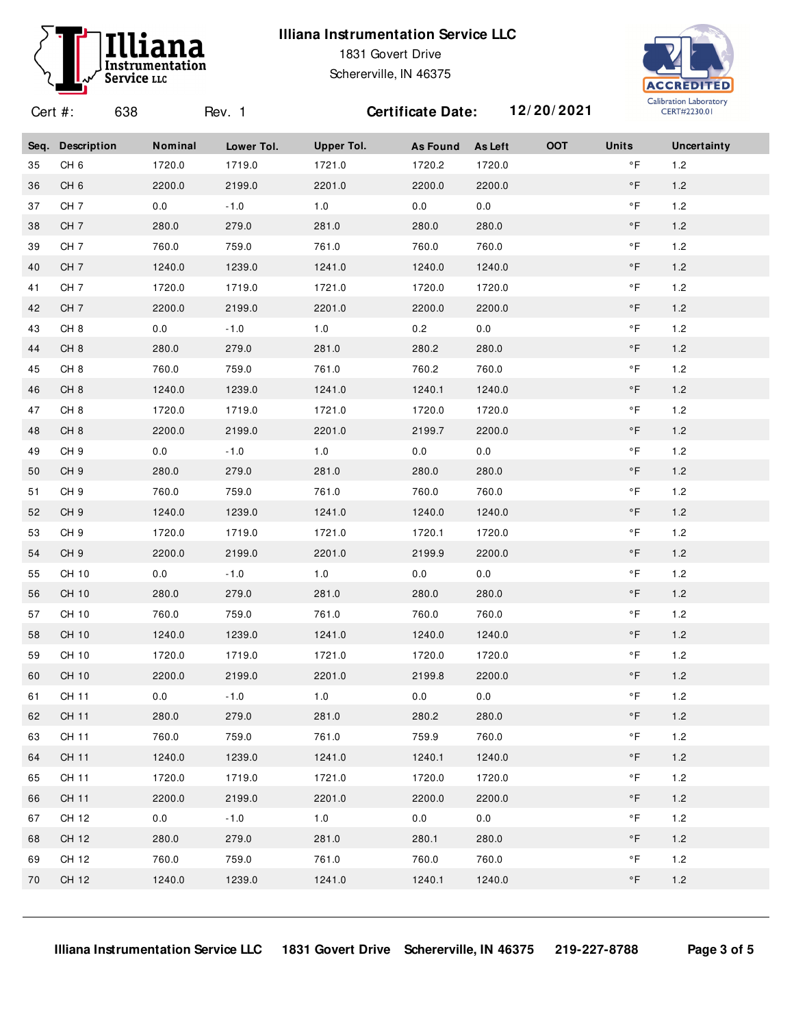### **Illiana Instrumentation Service LLC**



1831 Govert Drive Schererville, IN 46375



Cert #: 638 Rev. 1 **Certificate Date: 12/ 20/ 2021 Seq. Description Nominal Lower Tol. Upper Tol. As Found As Left OOT Units Uncertainty** CH 6 1720.0 1719.0 1721.0 1720.2 1720.0 °F 1.2 CH 6 2200.0 2199.0 2201.0 2200.0 2200.0 °F 1.2 37 CH 7 0.0 -1.0 1.0 0.0 0.0 0.0 °F 1.2 CH 7 280.0 279.0 281.0 280.0 280.0 °F 1.2 CH 7 760.0 759.0 761.0 760.0 760.0 °F 1.2 CH 7 1240.0 1239.0 1241.0 1240.0 1240.0 °F 1.2 CH 7 1720.0 1719.0 1721.0 1720.0 1720.0 °F 1.2 CH 7 2200.0 2199.0 2201.0 2200.0 2200.0 °F 1.2 CH 8 0.0 -1.0 1.0 0.2 0.0 1.2 °F CH 8 280.0 279.0 281.0 280.2 280.0 °F 1.2 CH 8 760.0 759.0 761.0 760.2 760.0 °F 1.2 CH 8 1240.0 1239.0 1241.0 1240.1 1240.0 °F 1.2 CH 8 1720.0 1719.0 1721.0 1720.0 1720.0 °F 1.2 CH 8 2200.0 2199.0 2201.0 2199.7 2200.0 °F 1.2 49 CH 9 0.0 -1.0 1.0 0.0 0.0 0.0 °F 1.2 CH 9 280.0 279.0 281.0 280.0 280.0 °F 1.2 CH 9 760.0 759.0 761.0 760.0 760.0 °F 1.2 CH 9 1240.0 1239.0 1241.0 1240.0 1240.0 °F 1.2 CH 9 1720.0 1719.0 1721.0 1720.1 1720.0 °F 1.2 CH 9 2200.0 2199.0 2201.0 2199.9 2200.0 °F 1.2 55 CH 10 0.0 -1.0 1.0 0.0 0.0 0.0 °F 1.2 CH 10 280.0 279.0 281.0 280.0 280.0 °F 1.2 CH 10 760.0 759.0 761.0 760.0 760.0 °F 1.2 CH 10 1240.0 1239.0 1241.0 1240.0 1240.0 °F 1.2 CH 10 1720.0 1719.0 1721.0 1720.0 1720.0 °F 1.2 CH 10 2200.0 2199.0 2201.0 2199.8 2200.0 °F 1.2 CH 11 0.0 -1.0 1.0 0.0 0.0 1.2 °F CH 11 280.0 279.0 281.0 280.2 280.0 °F 1.2 CH 11 760.0 759.0 761.0 759.9 760.0 °F 1.2 CH 11 1240.0 1239.0 1241.0 1240.1 1240.0 °F 1.2 CH 11 1720.0 1719.0 1721.0 1720.0 1720.0 °F 1.2 CH 11 2200.0 2199.0 2201.0 2200.0 2200.0 °F 1.2 67 CH 12 0.0 -1.0 1.0 0.0 0.0 0.0 °F 1.2 CH 12 280.0 279.0 281.0 280.1 280.0 °F 1.2 CH 12 760.0 759.0 761.0 760.0 760.0 °F 1.2 CH 12 1240.0 1239.0 1241.0 1240.1 1240.0 °F 1.2

**Illiana Instrumentation Service LLC 1831 Govert Drive Schererville, IN 46375 219-227-8788 Page 3 of 5**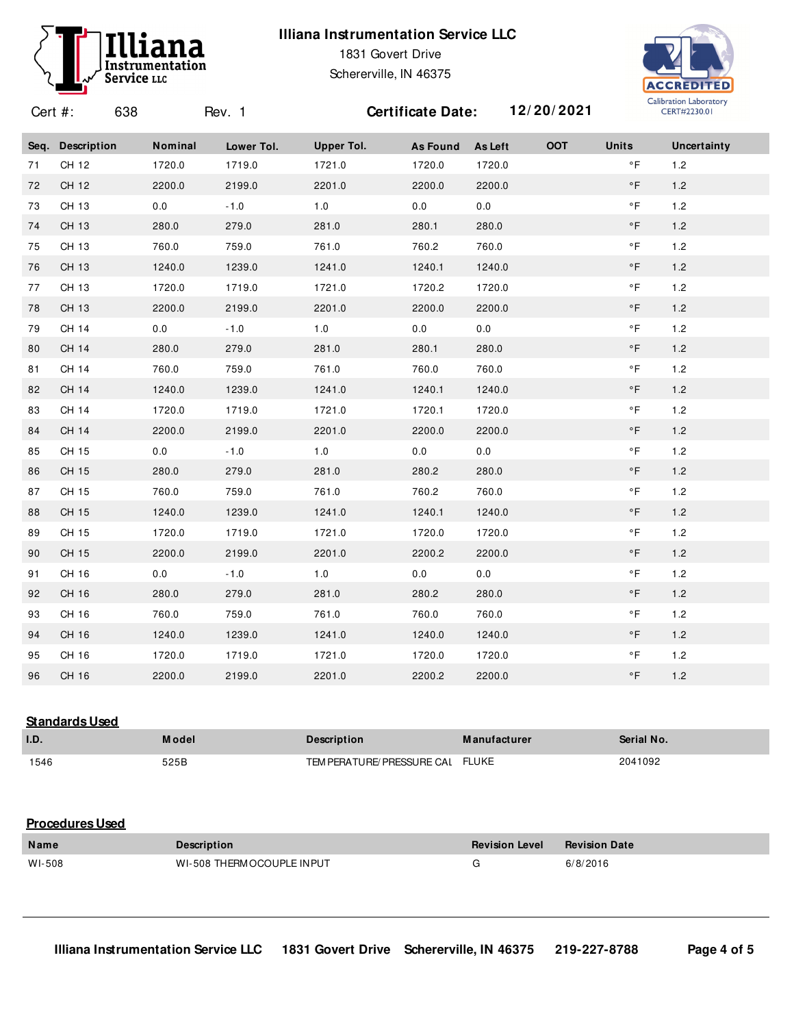### **Illiana Instrumentation Service LLC**

Rev. 1 **Certificate Date: 12/ 20/ 2021**



Cert #: 638

1831 Govert Drive Schererville, IN 46375



**Seq. Description Nominal Lower Tol. Upper Tol. As Found As Left OOT Units Uncertainty** CH 12 1720.0 1719.0 1721.0 1720.0 1720.0 °F 1.2 CH 12 2200.0 2199.0 2201.0 2200.0 2200.0 °F 1.2 73 CH 13 0.0 -1.0 1.0 0.0 0.0 0.0 °F 1.2 CH 13 280.0 279.0 281.0 280.1 280.0 °F 1.2 CH 13 760.0 759.0 761.0 760.2 760.0 °F 1.2 CH 13 1240.0 1239.0 1241.0 1240.1 1240.0 °F 1.2 CH 13 1720.0 1719.0 1721.0 1720.2 1720.0 °F 1.2 CH 13 2200.0 2199.0 2201.0 2200.0 2200.0 °F 1.2 79 CH 14 0.0 -1.0 1.0 0.0 0.0 0.0 °F 1.2 CH 14 280.0 279.0 281.0 280.1 280.0 °F 1.2 CH 14 760.0 759.0 761.0 760.0 760.0 °F 1.2 CH 14 1240.0 1239.0 1241.0 1240.1 1240.0 °F 1.2 CH 14 1720.0 1719.0 1721.0 1720.1 1720.0 °F 1.2 CH 14 2200.0 2199.0 2201.0 2200.0 2200.0 °F 1.2 85 CH 15 0.0 -1.0 1.0 0.0 0.0 0.0 °F 1.2 CH 15 280.0 279.0 281.0 280.2 280.0 °F 1.2 CH 15 760.0 759.0 761.0 760.2 760.0 °F 1.2 CH 15 1240.0 1239.0 1241.0 1240.1 1240.0 °F 1.2 CH 15 1720.0 1719.0 1721.0 1720.0 1720.0 °F 1.2 CH 15 2200.0 2199.0 2201.0 2200.2 2200.0 °F 1.2 91 CH 16 0.0 -1.0 1.0 0.0 0.0 0.0 °F 1.2 CH 16 280.0 279.0 281.0 280.2 280.0 °F 1.2 CH 16 760.0 759.0 761.0 760.0 760.0 °F 1.2 CH 16 1240.0 1239.0 1241.0 1240.0 1240.0 °F 1.2 CH 16 1720.0 1719.0 1721.0 1720.0 1720.0 °F 1.2 CH 16 2200.0 2199.0 2201.0 2200.2 2200.0 °F 1.2

#### **Standards Used**

| 1.D  | <b>Model</b> | <b>Description</b>         |              | <b>Serial No.</b> |
|------|--------------|----------------------------|--------------|-------------------|
| 1546 | 525B         | TEM PERATURE/ PRESSURE CAI | <b>FLUKE</b> | 2041092           |

#### **Procedures Used**

| <b>Name</b> | <b>Description</b>          | <b>Revision Level</b> | Revision Date |
|-------------|-----------------------------|-----------------------|---------------|
| WI-508      | WI-508 THERM OCOUPLE IN PUT |                       | 6/8/2016      |